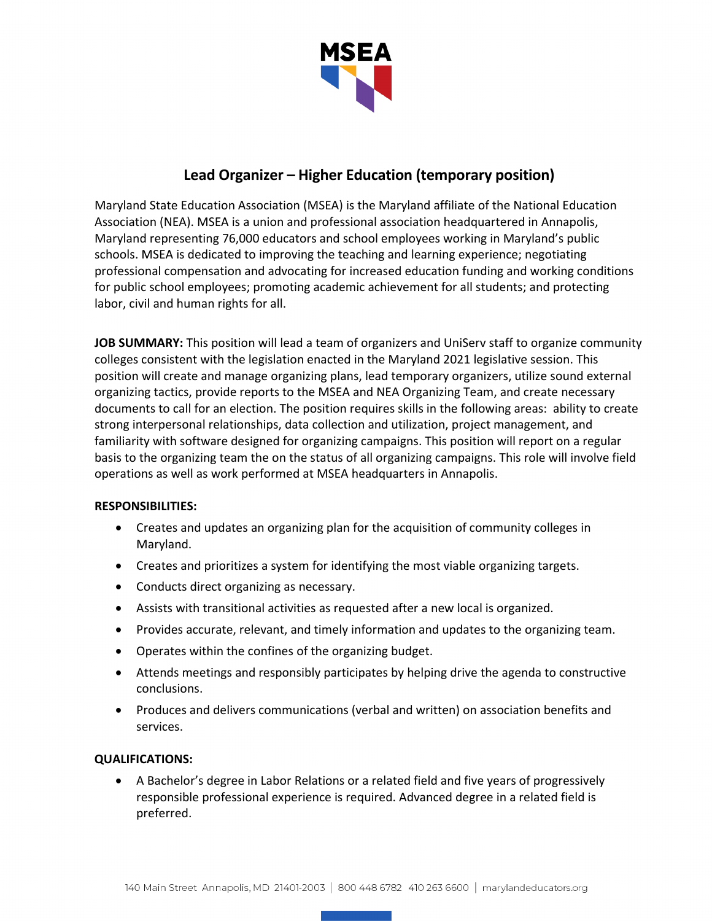

# **Lead Organizer – Higher Education (temporary position)**

Maryland State Education Association (MSEA) is the Maryland affiliate of the National Education Association (NEA). MSEA is a union and professional association headquartered in Annapolis, Maryland representing 76,000 educators and school employees working in Maryland's public schools. MSEA is dedicated to improving the teaching and learning experience; negotiating professional compensation and advocating for increased education funding and working conditions for public school employees; promoting academic achievement for all students; and protecting labor, civil and human rights for all.

**JOB SUMMARY:** This position will lead a team of organizers and UniServ staff to organize community colleges consistent with the legislation enacted in the Maryland 2021 legislative session. This position will create and manage organizing plans, lead temporary organizers, utilize sound external organizing tactics, provide reports to the MSEA and NEA Organizing Team, and create necessary documents to call for an election. The position requires skills in the following areas: ability to create strong interpersonal relationships, data collection and utilization, project management, and familiarity with software designed for organizing campaigns. This position will report on a regular basis to the organizing team the on the status of all organizing campaigns. This role will involve field operations as well as work performed at MSEA headquarters in Annapolis.

## **RESPONSIBILITIES:**

- Creates and updates an organizing plan for the acquisition of community colleges in Maryland.
- Creates and prioritizes a system for identifying the most viable organizing targets.
- Conducts direct organizing as necessary.
- Assists with transitional activities as requested after a new local is organized.
- Provides accurate, relevant, and timely information and updates to the organizing team.
- Operates within the confines of the organizing budget.
- Attends meetings and responsibly participates by helping drive the agenda to constructive conclusions.
- Produces and delivers communications (verbal and written) on association benefits and services.

## **QUALIFICATIONS:**

• A Bachelor's degree in Labor Relations or a related field and five years of progressively responsible professional experience is required. Advanced degree in a related field is preferred.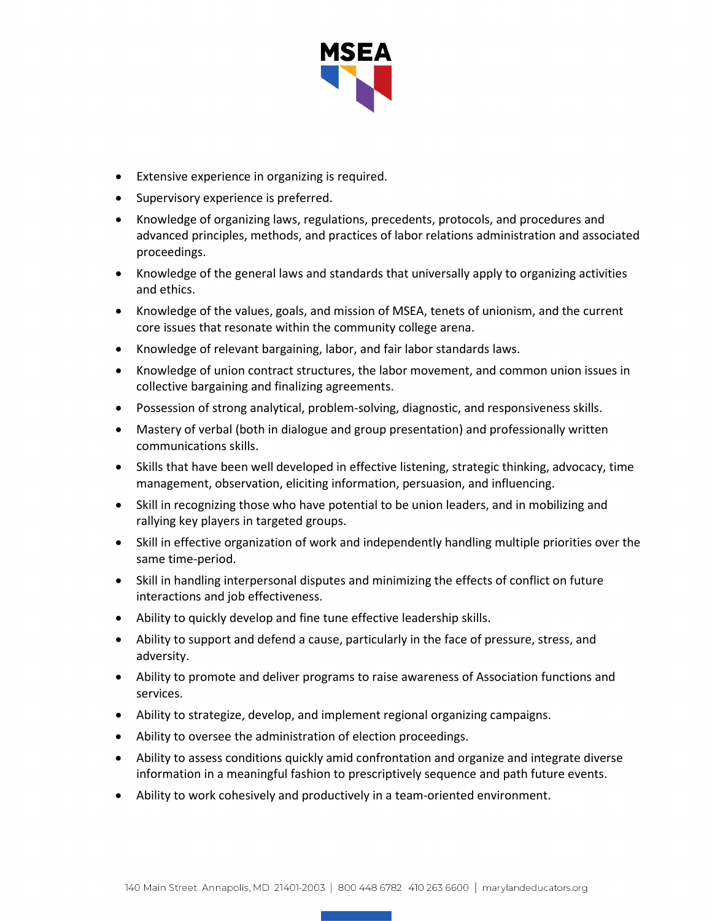

- Extensive experience in organizing is required.
- Supervisory experience is preferred.
- Knowledge of organizing laws, regulations, precedents, protocols, and procedures and advanced principles, methods, and practices of labor relations administration and associated proceedings.
- Knowledge of the general laws and standards that universally apply to organizing activities and ethics.
- Knowledge of the values, goals, and mission of MSEA, tenets of unionism, and the current core issues that resonate within the community college arena.
- Knowledge of relevant bargaining, labor, and fair labor standards laws.
- Knowledge of union contract structures, the labor movement, and common union issues in collective bargaining and finalizing agreements.
- Possession of strong analytical, problem-solving, diagnostic, and responsiveness skills.
- Mastery of verbal (both in dialogue and group presentation) and professionally written communications skills.
- Skills that have been well developed in effective listening, strategic thinking, advocacy, time management, observation, eliciting information, persuasion, and influencing.
- Skill in recognizing those who have potential to be union leaders, and in mobilizing and rallying key players in targeted groups.
- Skill in effective organization of work and independently handling multiple priorities over the same time-period.
- Skill in handling interpersonal disputes and minimizing the effects of conflict on future interactions and job effectiveness.
- Ability to quickly develop and fine tune effective leadership skills.
- Ability to support and defend a cause, particularly in the face of pressure, stress, and adversity.
- Ability to promote and deliver programs to raise awareness of Association functions and services.
- Ability to strategize, develop, and implement regional organizing campaigns.
- Ability to oversee the administration of election proceedings.
- Ability to assess conditions quickly amid confrontation and organize and integrate diverse information in a meaningful fashion to prescriptively sequence and path future events.
- Ability to work cohesively and productively in a team-oriented environment.